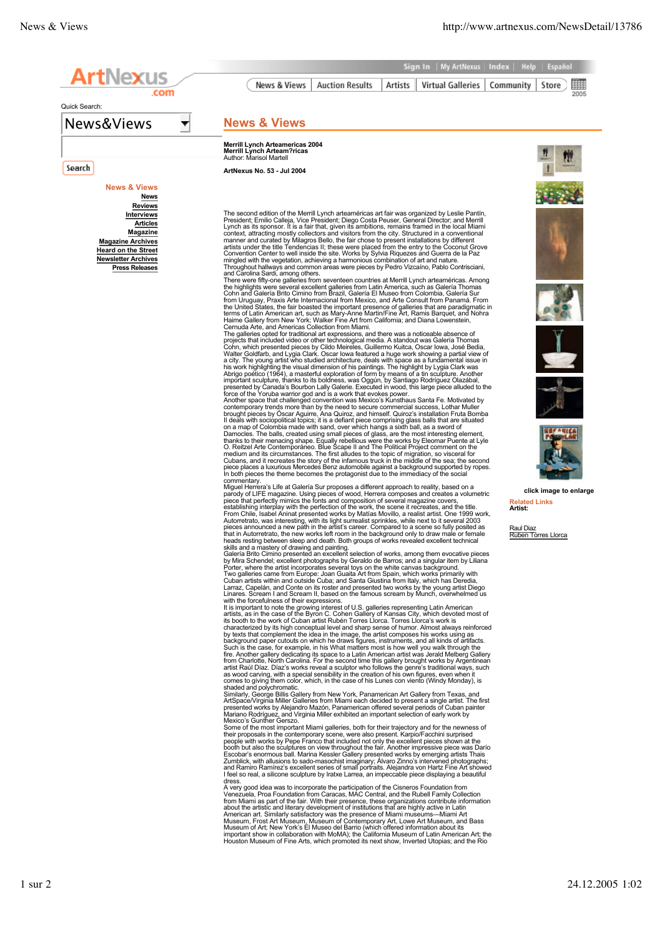